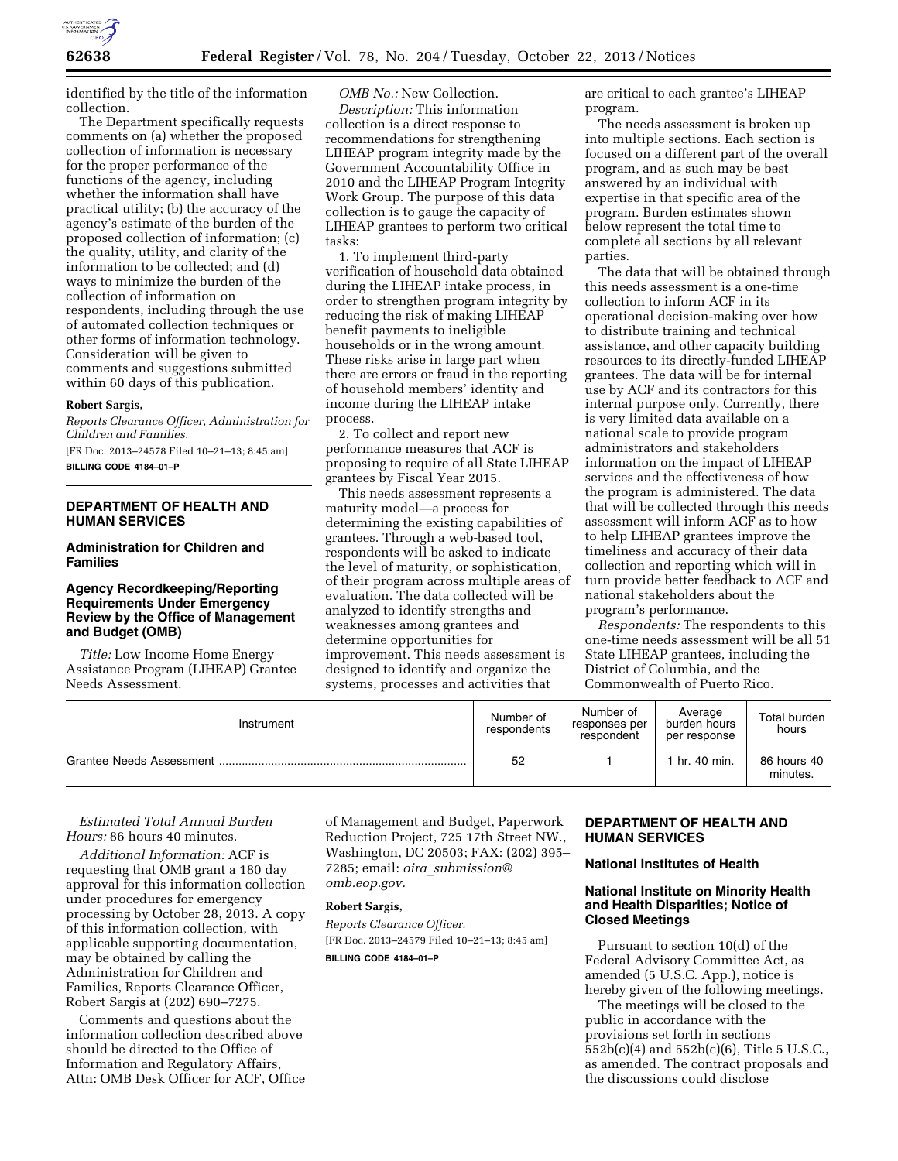

identified by the title of the information collection.

The Department specifically requests comments on (a) whether the proposed collection of information is necessary for the proper performance of the functions of the agency, including whether the information shall have practical utility; (b) the accuracy of the agency's estimate of the burden of the proposed collection of information; (c) the quality, utility, and clarity of the information to be collected; and (d) ways to minimize the burden of the collection of information on respondents, including through the use of automated collection techniques or other forms of information technology. Consideration will be given to comments and suggestions submitted within 60 days of this publication.

#### **Robert Sargis,**

*Reports Clearance Officer, Administration for Children and Families.* 

[FR Doc. 2013–24578 Filed 10–21–13; 8:45 am] **BILLING CODE 4184–01–P** 

# **DEPARTMENT OF HEALTH AND HUMAN SERVICES**

# **Administration for Children and Families**

## **Agency Recordkeeping/Reporting Requirements Under Emergency Review by the Office of Management and Budget (OMB)**

*Title:* Low Income Home Energy Assistance Program (LIHEAP) Grantee Needs Assessment.

*OMB No.:* New Collection. *Description:* This information collection is a direct response to recommendations for strengthening LIHEAP program integrity made by the Government Accountability Office in 2010 and the LIHEAP Program Integrity Work Group. The purpose of this data collection is to gauge the capacity of LIHEAP grantees to perform two critical tasks:

1. To implement third-party verification of household data obtained during the LIHEAP intake process, in order to strengthen program integrity by reducing the risk of making LIHEAP benefit payments to ineligible households or in the wrong amount. These risks arise in large part when there are errors or fraud in the reporting of household members' identity and income during the LIHEAP intake process.

2. To collect and report new performance measures that ACF is proposing to require of all State LIHEAP grantees by Fiscal Year 2015.

This needs assessment represents a maturity model—a process for determining the existing capabilities of grantees. Through a web-based tool, respondents will be asked to indicate the level of maturity, or sophistication, of their program across multiple areas of evaluation. The data collected will be analyzed to identify strengths and weaknesses among grantees and determine opportunities for improvement. This needs assessment is designed to identify and organize the systems, processes and activities that

are critical to each grantee's LIHEAP program.

The needs assessment is broken up into multiple sections. Each section is focused on a different part of the overall program, and as such may be best answered by an individual with expertise in that specific area of the program. Burden estimates shown below represent the total time to complete all sections by all relevant parties.

The data that will be obtained through this needs assessment is a one-time collection to inform ACF in its operational decision-making over how to distribute training and technical assistance, and other capacity building resources to its directly-funded LIHEAP grantees. The data will be for internal use by ACF and its contractors for this internal purpose only. Currently, there is very limited data available on a national scale to provide program administrators and stakeholders information on the impact of LIHEAP services and the effectiveness of how the program is administered. The data that will be collected through this needs assessment will inform ACF as to how to help LIHEAP grantees improve the timeliness and accuracy of their data collection and reporting which will in turn provide better feedback to ACF and national stakeholders about the program's performance.

*Respondents:* The respondents to this one-time needs assessment will be all 51 State LIHEAP grantees, including the District of Columbia, and the Commonwealth of Puerto Rico.

| Instrument               | Number of<br>respondents | Number of<br>responses per<br>respondent | Average<br>burden hours<br>per response | Total burden<br>hours   |
|--------------------------|--------------------------|------------------------------------------|-----------------------------------------|-------------------------|
| Grantee Needs Assessment | 52                       |                                          | hr. 40 min.                             | 86 hours 40<br>minutes. |

*Estimated Total Annual Burden Hours:* 86 hours 40 minutes.

*Additional Information:* ACF is requesting that OMB grant a 180 day approval for this information collection under procedures for emergency processing by October 28, 2013. A copy of this information collection, with applicable supporting documentation, may be obtained by calling the Administration for Children and Families, Reports Clearance Officer, Robert Sargis at (202) 690–7275.

Comments and questions about the information collection described above should be directed to the Office of Information and Regulatory Affairs, Attn: OMB Desk Officer for ACF, Office of Management and Budget, Paperwork Reduction Project, 725 17th Street NW., Washington, DC 20503; FAX: (202) 395– 7285; email: *oira*\_*[submission@](mailto:oira_submission@omb.eop.gov) [omb.eop.gov.](mailto:oira_submission@omb.eop.gov)* 

#### **Robert Sargis,**

*Reports Clearance Officer.*  [FR Doc. 2013–24579 Filed 10–21–13; 8:45 am] **BILLING CODE 4184–01–P** 

# **DEPARTMENT OF HEALTH AND HUMAN SERVICES**

### **National Institutes of Health**

## **National Institute on Minority Health and Health Disparities; Notice of Closed Meetings**

Pursuant to section 10(d) of the Federal Advisory Committee Act, as amended (5 U.S.C. App.), notice is hereby given of the following meetings.

The meetings will be closed to the public in accordance with the provisions set forth in sections 552b(c)(4) and 552b(c)(6), Title 5 U.S.C., as amended. The contract proposals and the discussions could disclose